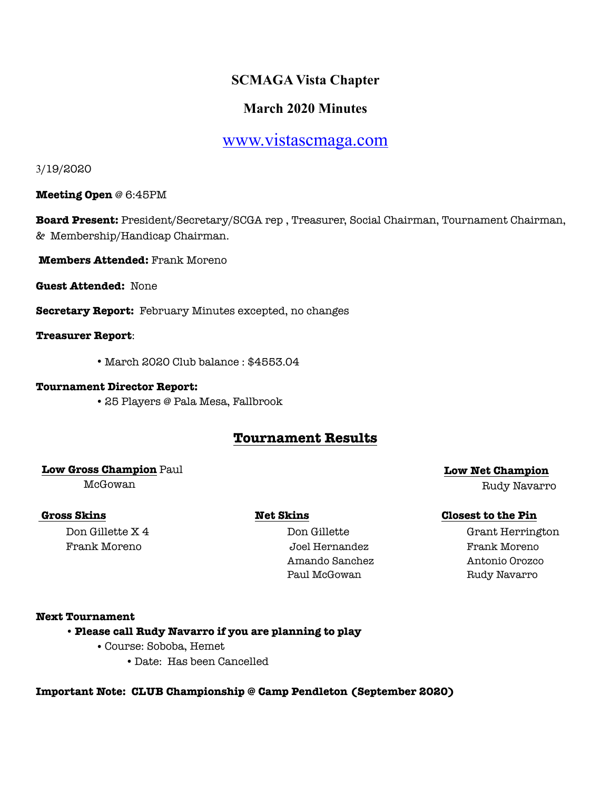# **SCMAGA Vista Chapter**

# **March 2020 Minutes**

# [www.vistascmaga.com](http://www.vistascmaga.com)

3/19/2020

**Meeting Open** @ 6:45PM

**Board Present:** President/Secretary/SCGA rep , Treasurer, Social Chairman, Tournament Chairman, & Membership/Handicap Chairman.

**Members Attended:** Frank Moreno

**Guest Attended:** None

**Secretary Report:** February Minutes excepted, no changes

**Treasurer Report**:

•March 2020 Club balance : \$4553.04

### **Tournament Director Report:**

•25 Players @ Pala Mesa, Fallbrook

# **Tournament Results**

# **Low Gross Champion** Paul **Low Net Champion**

# Frank Moreno Joel Hernandez Frank Moreno Amando Sanchez Antonio Orozco Paul McGowan Rudy Navarro

McGowan Rudy Navarro

## **Gross Skins Net Skins Net Skins Closest to the Pin**

**Don Gillette X 4** Don Gillette Grant Herrington

### **Next Tournament**

## •**Please call Rudy Navarro if you are planning to play**

- •Course: Soboba, Hemet
	- Date: Has been Cancelled

## **Important Note: CLUB Championship @ Camp Pendleton (September 2020)**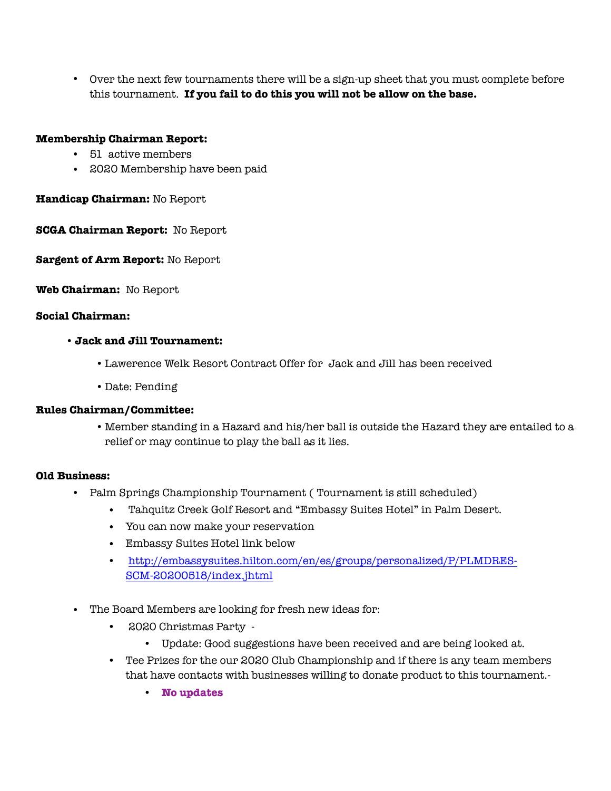**•** Over the next few tournaments there will be a sign-up sheet that you must complete before this tournament. **If you fail to do this you will not be allow on the base.**

## **Membership Chairman Report:**

- 51 active members
- 2020 Membership have been paid

### **Handicap Chairman:** No Report

**SCGA Chairman Report:** No Report

**Sargent of Arm Report:** No Report

**Web Chairman:** No Report

#### **Social Chairman:**

#### •**Jack and Jill Tournament:**

- •Lawerence Welk Resort Contract Offer for Jack and Jill has been received
- Date: Pending

### **Rules Chairman/Committee:**

•Member standing in a Hazard and his/her ball is outside the Hazard they are entailed to a relief or may continue to play the ball as it lies.

### **Old Business:**

- Palm Springs Championship Tournament ( Tournament is still scheduled)
	- Tahquitz Creek Golf Resort and "Embassy Suites Hotel" in Palm Desert.
	- You can now make your reservation
	- Embassy Suites Hotel link below
	- [http://embassysuites.hilton.com/en/es/groups/personalized/P/PLMDRES-](http://embassysuites.hilton.com/en/es/groups/personalized/P/PLMDRES-SCM-20200518/index.jhtml)SCM-20200518/index.jhtml
- The Board Members are looking for fresh new ideas for:
	- 2020 Christmas Party
		- Update: Good suggestions have been received and are being looked at.
	- Tee Prizes for the our 2020 Club Championship and if there is any team members that have contacts with businesses willing to donate product to this tournament.-
		- **No updates**